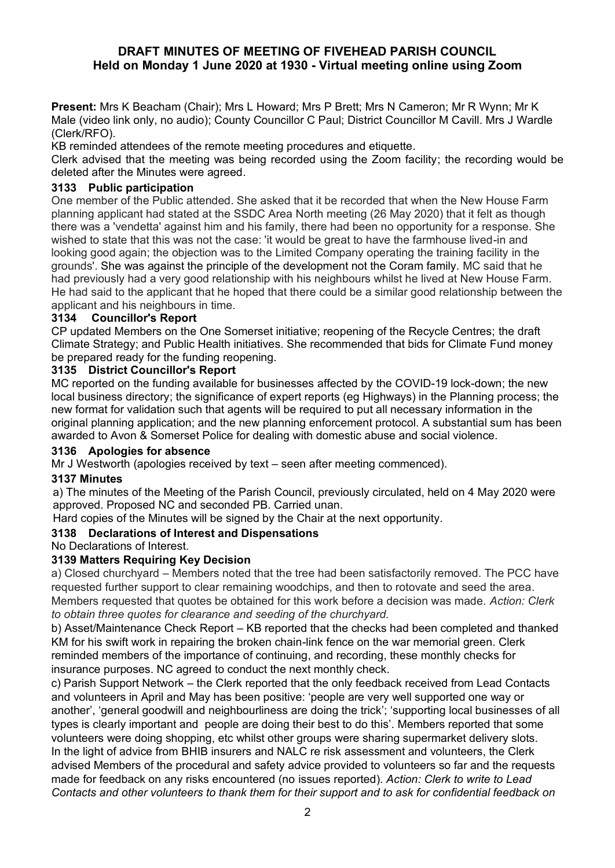# **DRAFT MINUTES OF MEETING OF FIVEHEAD PARISH COUNCIL Held on Monday 1 June 2020 at 1930 - Virtual meeting online using Zoom**

**Present:** Mrs K Beacham (Chair); Mrs L Howard; Mrs P Brett; Mrs N Cameron; Mr R Wynn; Mr K Male (video link only, no audio); County Councillor C Paul; District Councillor M Cavill. Mrs J Wardle (Clerk/RFO).

KB reminded attendees of the remote meeting procedures and etiquette.

Clerk advised that the meeting was being recorded using the Zoom facility; the recording would be deleted after the Minutes were agreed.

## **3133 Public participation**

One member of the Public attended. She asked that it be recorded that when the New House Farm planning applicant had stated at the SSDC Area North meeting (26 May 2020) that it felt as though there was a 'vendetta' against him and his family, there had been no opportunity for a response. She wished to state that this was not the case: 'it would be great to have the farmhouse lived-in and looking good again; the objection was to the Limited Company operating the training facility in the grounds'. She was against the principle of the development not the Coram family. MC said that he had previously had a very good relationship with his neighbours whilst he lived at New House Farm. He had said to the applicant that he hoped that there could be a similar good relationship between the applicant and his neighbours in time.

### **3134 Councillor's Report**

CP updated Members on the One Somerset initiative; reopening of the Recycle Centres; the draft Climate Strategy; and Public Health initiatives. She recommended that bids for Climate Fund money be prepared ready for the funding reopening.

### **3135 District Councillor's Report**

MC reported on the funding available for businesses affected by the COVID-19 lock-down; the new local business directory; the significance of expert reports (eg Highways) in the Planning process; the new format for validation such that agents will be required to put all necessary information in the original planning application; and the new planning enforcement protocol. A substantial sum has been awarded to Avon & Somerset Police for dealing with domestic abuse and social violence.

#### **3136 Apologies for absence**

Mr J Westworth (apologies received by text – seen after meeting commenced).

### **3137 Minutes**

a) The minutes of the Meeting of the Parish Council, previously circulated, held on 4 May 2020 were approved. Proposed NC and seconded PB. Carried unan.

Hard copies of the Minutes will be signed by the Chair at the next opportunity.

# **3138 Declarations of Interest and Dispensations**

No Declarations of Interest.

#### **3139 Matters Requiring Key Decision**

a) Closed churchyard – Members noted that the tree had been satisfactorily removed. The PCC have requested further support to clear remaining woodchips, and then to rotovate and seed the area. Members requested that quotes be obtained for this work before a decision was made. *Action: Clerk to obtain three quotes for clearance and seeding of the churchyard.* 

b) Asset/Maintenance Check Report – KB reported that the checks had been completed and thanked KM for his swift work in repairing the broken chain-link fence on the war memorial green. Clerk reminded members of the importance of continuing, and recording, these monthly checks for insurance purposes. NC agreed to conduct the next monthly check.

c) Parish Support Network – the Clerk reported that the only feedback received from Lead Contacts and volunteers in April and May has been positive: 'people are very well supported one way or another', 'general goodwill and neighbourliness are doing the trick'; 'supporting local businesses of all types is clearly important and people are doing their best to do this'. Members reported that some volunteers were doing shopping, etc whilst other groups were sharing supermarket delivery slots. In the light of advice from BHIB insurers and NALC re risk assessment and volunteers, the Clerk advised Members of the procedural and safety advice provided to volunteers so far and the requests made for feedback on any risks encountered (no issues reported). *Action: Clerk to write to Lead Contacts and other volunteers to thank them for their support and to ask for confidential feedback on*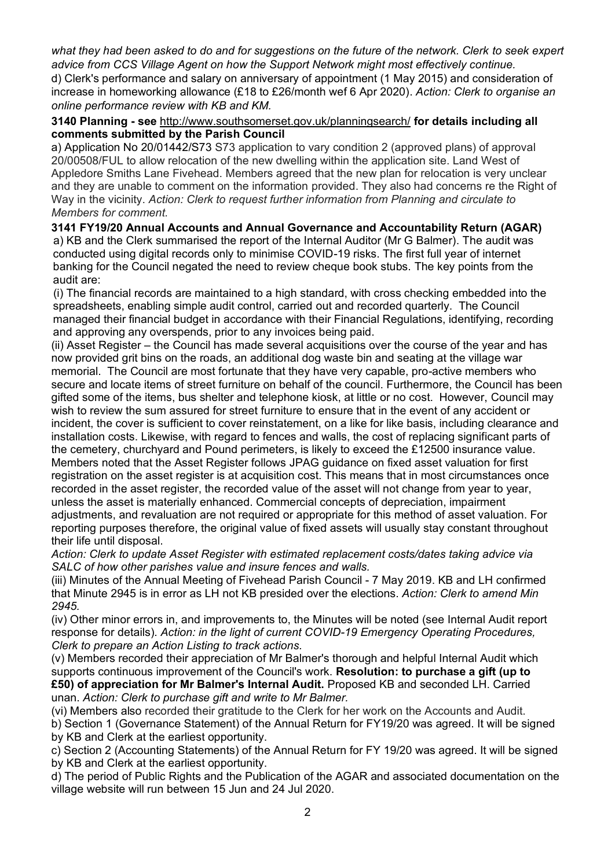*what they had been asked to do and for suggestions on the future of the network. Clerk to seek expert advice from CCS Village Agent on how the Support Network might most effectively continue.*

d) Clerk's performance and salary on anniversary of appointment (1 May 2015) and consideration of increase in homeworking allowance (£18 to £26/month wef 6 Apr 2020). *Action: Clerk to organise an online performance review with KB and KM.*

#### **3140 Planning - see** [http://www.southsomerset.gov.uk/planningsearch/](about:blank) **for details including all comments submitted by the Parish Council**

a) Application No 20/01442/S73 S73 application to vary condition 2 (approved plans) of approval 20/00508/FUL to allow relocation of the new dwelling within the application site. Land West of Appledore Smiths Lane Fivehead. Members agreed that the new plan for relocation is very unclear and they are unable to comment on the information provided. They also had concerns re the Right of Way in the vicinity. *Action: Clerk to request further information from Planning and circulate to Members for comment.*

# **3141 FY19/20 Annual Accounts and Annual Governance and Accountability Return (AGAR)**

a) KB and the Clerk summarised the report of the Internal Auditor (Mr G Balmer). The audit was conducted using digital records only to minimise COVID-19 risks. The first full year of internet banking for the Council negated the need to review cheque book stubs. The key points from the audit are:

(i) The financial records are maintained to a high standard, with cross checking embedded into the spreadsheets, enabling simple audit control, carried out and recorded quarterly. The Council managed their financial budget in accordance with their Financial Regulations, identifying, recording and approving any overspends, prior to any invoices being paid.

(ii) Asset Register – the Council has made several acquisitions over the course of the year and has now provided grit bins on the roads, an additional dog waste bin and seating at the village war memorial. The Council are most fortunate that they have very capable, pro-active members who secure and locate items of street furniture on behalf of the council. Furthermore, the Council has been gifted some of the items, bus shelter and telephone kiosk, at little or no cost. However, Council may wish to review the sum assured for street furniture to ensure that in the event of any accident or incident, the cover is sufficient to cover reinstatement, on a like for like basis, including clearance and installation costs. Likewise, with regard to fences and walls, the cost of replacing significant parts of the cemetery, churchyard and Pound perimeters, is likely to exceed the £12500 insurance value. Members noted that the Asset Register follows JPAG guidance on fixed asset valuation for first registration on the asset register is at acquisition cost. This means that in most circumstances once recorded in the asset register, the recorded value of the asset will not change from year to year, unless the asset is materially enhanced. Commercial concepts of depreciation, impairment adjustments, and revaluation are not required or appropriate for this method of asset valuation. For reporting purposes therefore, the original value of fixed assets will usually stay constant throughout their life until disposal.

*Action: Clerk to update Asset Register with estimated replacement costs/dates taking advice via SALC of how other parishes value and insure fences and walls.*

(iii) Minutes of the Annual Meeting of Fivehead Parish Council - 7 May 2019. KB and LH confirmed that Minute 2945 is in error as LH not KB presided over the elections. *Action: Clerk to amend Min 2945.*

(iv) Other minor errors in, and improvements to, the Minutes will be noted (see Internal Audit report response for details). *Action: in the light of current COVID-19 Emergency Operating Procedures, Clerk to prepare an Action Listing to track actions.*

(v) Members recorded their appreciation of Mr Balmer's thorough and helpful Internal Audit which supports continuous improvement of the Council's work. **Resolution: to purchase a gift (up to £50) of appreciation for Mr Balmer's Internal Audit.** Proposed KB and seconded LH. Carried unan. *Action: Clerk to purchase gift and write to Mr Balmer.*

(vi) Members also recorded their gratitude to the Clerk for her work on the Accounts and Audit.

b) Section 1 (Governance Statement) of the Annual Return for FY19/20 was agreed. It will be signed by KB and Clerk at the earliest opportunity.

c) Section 2 (Accounting Statements) of the Annual Return for FY 19/20 was agreed. It will be signed by KB and Clerk at the earliest opportunity.

d) The period of Public Rights and the Publication of the AGAR and associated documentation on the village website will run between 15 Jun and 24 Jul 2020.